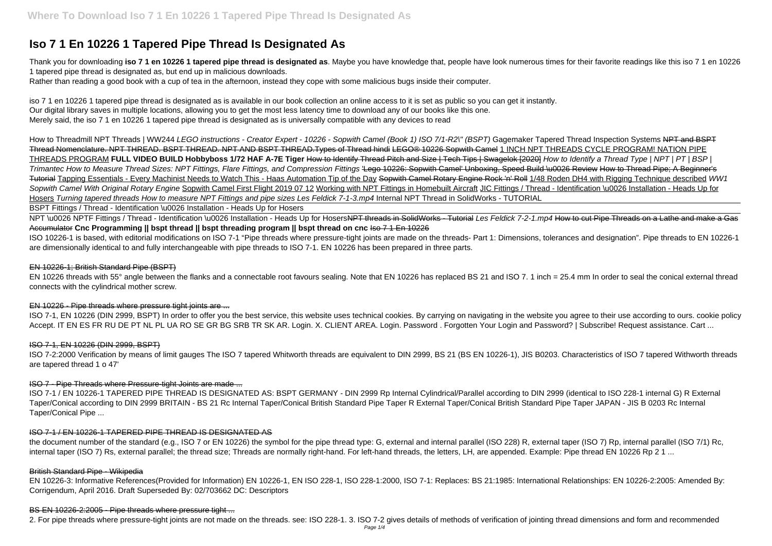# **Iso 7 1 En 10226 1 Tapered Pipe Thread Is Designated As**

Thank you for downloading **iso 7 1 en 10226 1 tapered pipe thread is designated as**. Maybe you have knowledge that, people have look numerous times for their favorite readings like this iso 7 1 en 10226 1 tapered pipe thread is designated as, but end up in malicious downloads.

Rather than reading a good book with a cup of tea in the afternoon, instead they cope with some malicious bugs inside their computer.

iso 7 1 en 10226 1 tapered pipe thread is designated as is available in our book collection an online access to it is set as public so you can get it instantly. Our digital library saves in multiple locations, allowing you to get the most less latency time to download any of our books like this one. Merely said, the iso 7 1 en 10226 1 tapered pipe thread is designated as is universally compatible with any devices to read

How to Threadmill NPT Threads | WW244 LEGO instructions - Creator Expert - 10226 - Sopwith Camel (Book 1) ISO 7/1-R2\" (BSPT) Gagemaker Tapered Thread Inspection Systems NPT and BSPT Thread Nomenclature. NPT THREAD. BSPT THREAD. NPT AND BSPT THREAD.Types of Thread hindi LEGO® 10226 Sopwith Camel 1 INCH NPT THREADS CYCLE PROGRAM! NATION PIPE THREADS PROGRAM **FULL VIDEO BUILD Hobbyboss 1/72 HAF A-7E Tiger** How to Identify Thread Pitch and Size | Tech Tips | Swagelok [2020] How to Identify a Thread Type | NPT | PT | BSP | Trimantec How to Measure Thread Sizes: NPT Fittings, Flare Fittings, and Compression Fittings 'Lego 10226: Sopwith Camel' Unboxing, Speed Build \u0026 Review How to Thread Pipe; A Beginner's Tutorial Tapping Essentials - Every Machinist Needs to Watch This - Haas Automation Tip of the Day Sopwith Camel Rotary Engine Rock 'n' Roll 1/48 Roden DH4 with Rigging Technique described WW1 Sopwith Camel With Original Rotary Engine Sopwith Camel First Flight 2019 07 12 Working with NPT Fittings in Homebuilt Aircraft JIC Fittings / Thread - Identification \u0026 Installation - Heads Up for Hosers Turning tapered threads How to measure NPT Fittings and pipe sizes Les Feldick 7-1-3.mp4 Internal NPT Thread in SolidWorks - TUTORIAL

NPT \u0026 NPTF Fittings / Thread - Identification \u0026 Installation - Heads Up for HosersNPT threads in SolidWorks - Tutorial Les Feldick 7-2-1.mp4 How to cut Pipe Threads on a Lathe and make a Gas Accumulator **Cnc Programming || bspt thread || bspt threading program || bspt thread on cnc** Iso 7 1 En 10226

EN 10226 threads with 55° angle between the flanks and a connectable root favours sealing. Note that EN 10226 has replaced BS 21 and ISO 7. 1 inch = 25.4 mm In order to seal the conical external thread connects with the cylindrical mother screw.

ISO 7-1, EN 10226 (DIN 2999, BSPT) In order to offer you the best service, this website uses technical cookies. By carrying on navigating in the website you agree to their use according to ours. cookie policy Accept. IT EN ES FR RU DE PT NL PL UA RO SE GR BG SRB TR SK AR. Login. X. CLIENT AREA. Login. Password . Forgotten Your Login and Password? | Subscribe! Request assistance. Cart ...

the document number of the standard (e.g., ISO 7 or EN 10226) the symbol for the pipe thread type: G, external and internal parallel (ISO 228) R, external taper (ISO 7) Rp, internal parallel (ISO 7/1) Rc, internal taper (ISO 7) Rs, external parallel; the thread size; Threads are normally right-hand. For left-hand threads, the letters, LH, are appended. Example: Pipe thread EN 10226 Rp 2 1 ...

BSPT Fittings / Thread - Identification \u0026 Installation - Heads Up for Hosers

ISO 10226-1 is based, with editorial modifications on ISO 7-1 "Pipe threads where pressure-tight joints are made on the threads- Part 1: Dimensions, tolerances and designation". Pipe threads to EN 10226-1 are dimensionally identical to and fully interchangeable with pipe threads to ISO 7-1. EN 10226 has been prepared in three parts.

### EN 10226-1; British Standard Pipe (BSPT)

# EN 10226 - Pipe threads where pressure tight joints are ...

# ISO 7-1, EN 10226 (DIN 2999, BSPT)

ISO 7-2:2000 Verification by means of limit gauges The ISO 7 tapered Whitworth threads are equivalent to DIN 2999, BS 21 (BS EN 10226-1), JIS B0203. Characteristics of ISO 7 tapered Withworth threads are tapered thread 1 o 47'

# ISO 7 - Pipe Threads where Pressure-tight Joints are made ...

ISO 7-1 / EN 10226-1 TAPERED PIPE THREAD IS DESIGNATED AS: BSPT GERMANY - DIN 2999 Rp Internal Cylindrical/Parallel according to DIN 2999 (identical to ISO 228-1 internal G) R External Taper/Conical according to DIN 2999 BRITAIN - BS 21 Rc Internal Taper/Conical British Standard Pipe Taper R External Taper/Conical British Standard Pipe Taper JAPAN - JIS B 0203 Rc Internal Taper/Conical Pipe ...

#### ISO 7-1 / EN 10226-1 TAPERED PIPE THREAD IS DESIGNATED AS

#### British Standard Pipe - Wikipedia

EN 10226-3: Informative References(Provided for Information) EN 10226-1, EN ISO 228-1, ISO 228-1:2000, ISO 7-1: Replaces: BS 21:1985: International Relationships: EN 10226-2:2005: Amended By: Corrigendum, April 2016. Draft Superseded By: 02/703662 DC: Descriptors

#### BS EN 10226-2:2005 - Pipe threads where pressure tight ...

2. For pipe threads where pressure-tight joints are not made on the threads. see: ISO 228-1. 3. ISO 7-2 gives details of methods of verification of jointing thread dimensions and form and recommended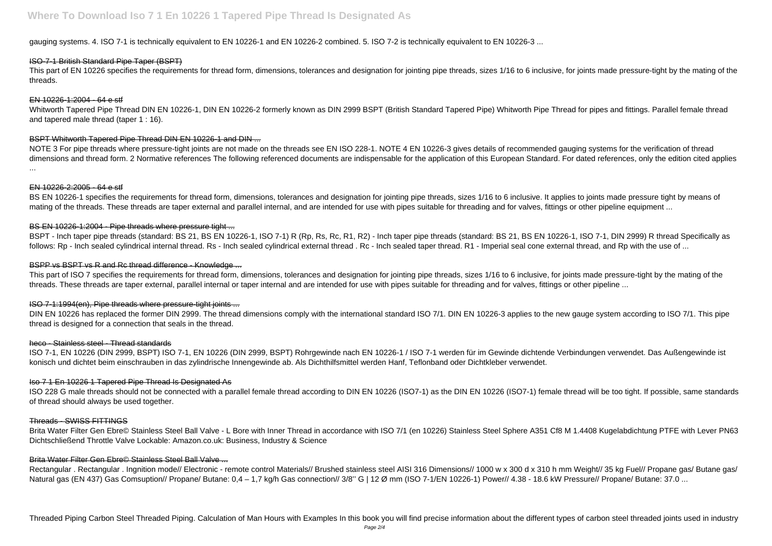gauging systems. 4. ISO 7-1 is technically equivalent to EN 10226-1 and EN 10226-2 combined. 5. ISO 7-2 is technically equivalent to EN 10226-3 ...

This part of EN 10226 specifies the requirements for thread form, dimensions, tolerances and designation for jointing pipe threads, sizes 1/16 to 6 inclusive, for joints made pressure-tight by the mating of the threads.

# ISO-7-1 British Standard Pipe Taper (BSPT)

#### EN 10226-1:2004 - 64 e stf

NOTE 3 For pipe threads where pressure-tight joints are not made on the threads see EN ISO 228-1. NOTE 4 EN 10226-3 gives details of recommended gauging systems for the verification of thread dimensions and thread form. 2 Normative references The following referenced documents are indispensable for the application of this European Standard. For dated references, only the edition cited applies ...

Whitworth Tapered Pipe Thread DIN EN 10226-1, DIN EN 10226-2 formerly known as DIN 2999 BSPT (British Standard Tapered Pipe) Whitworth Pipe Thread for pipes and fittings. Parallel female thread and tapered male thread (taper 1 : 16).

#### BSPT Whitworth Tapered Pipe Thread DIN EN 10226-1 and DIN ...

BSPT - Inch taper pipe threads (standard: BS 21, BS EN 10226-1, ISO 7-1) R (Rp, Rs, Rc, R1, R2) - Inch taper pipe threads (standard: BS 21, BS EN 10226-1, ISO 7-1, DIN 2999) R thread Specifically as follows: Rp - Inch sealed cylindrical internal thread. Rs - Inch sealed cylindrical external thread . Rc - Inch sealed taper thread. R1 - Imperial seal cone external thread, and Rp with the use of ...

#### BSPP vs BSPT vs R and Rc thread difference - Knowledge ...

#### EN 10226-2:2005 - 64 e stf

BS EN 10226-1 specifies the requirements for thread form, dimensions, tolerances and designation for jointing pipe threads, sizes 1/16 to 6 inclusive. It applies to joints made pressure tight by means of mating of the threads. These threads are taper external and parallel internal, and are intended for use with pipes suitable for threading and for valves, fittings or other pipeline equipment ...

#### BS EN 10226-1:2004 - Pipe threads where pressure tight ...

This part of ISO 7 specifies the requirements for thread form, dimensions, tolerances and designation for jointing pipe threads, sizes 1/16 to 6 inclusive, for joints made pressure-tight by the mating of the threads. These threads are taper external, parallel internal or taper internal and are intended for use with pipes suitable for threading and for valves, fittings or other pipeline ...

DIN EN 10226 has replaced the former DIN 2999. The thread dimensions comply with the international standard ISO 7/1. DIN EN 10226-3 applies to the new gauge system according to ISO 7/1. This pipe thread is designed for a connection that seals in the thread.

#### ISO 7-1:1994(en), Pipe threads where pressure-tight joints ...

#### heco - Stainless steel - Thread standards

ISO 7-1, EN 10226 (DIN 2999, BSPT) ISO 7-1, EN 10226 (DIN 2999, BSPT) Rohrgewinde nach EN 10226-1 / ISO 7-1 werden für im Gewinde dichtende Verbindungen verwendet. Das Außengewinde ist konisch und dichtet beim einschrauben in das zylindrische Innengewinde ab. Als Dichthilfsmittel werden Hanf, Teflonband oder Dichtkleber verwendet.

#### Iso 7 1 En 10226 1 Tapered Pipe Thread Is Designated As

ISO 228 G male threads should not be connected with a parallel female thread according to DIN EN 10226 (ISO7-1) as the DIN EN 10226 (ISO7-1) female thread will be too tight. If possible, same standards of thread should always be used together.

#### Threads - SWISS FITTINGS

Brita Water Filter Gen Ebre© Stainless Steel Ball Valve - L Bore with Inner Thread in accordance with ISO 7/1 (en 10226) Stainless Steel Sphere A351 Cf8 M 1.4408 Kugelabdichtung PTFE with Lever PN63 Dichtschließend Throttle Valve Lockable: Amazon.co.uk: Business, Industry & Science

#### Brita Water Filter Gen Ebre© Stainless Steel Ball Valve ...

Rectangular . Rectangular . Ingnition mode// Electronic - remote control Materials// Brushed stainless steel AISI 316 Dimensions// 1000 w x 300 d x 310 h mm Weight// 35 kg Fuel// Propane gas/ Butane gas/ Natural gas (EN 437) Gas Comsuption// Propane/ Butane: 0,4 - 1,7 kg/h Gas connection// 3/8" G | 12 Ø mm (ISO 7-1/EN 10226-1) Power// 4.38 - 18.6 kW Pressure// Propane/ Butane: 37.0 ...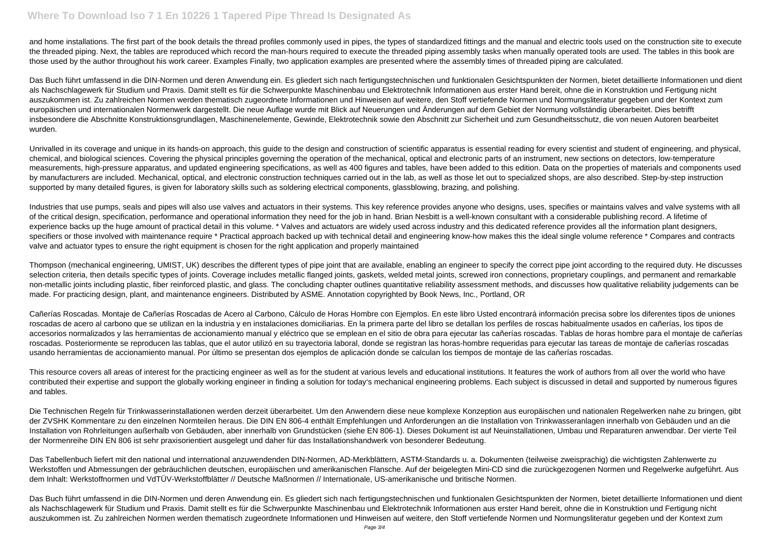# **Where To Download Iso 7 1 En 10226 1 Tapered Pipe Thread Is Designated As**

and home installations. The first part of the book details the thread profiles commonly used in pipes, the types of standardized fittings and the manual and electric tools used on the construction site to execute the threaded piping. Next, the tables are reproduced which record the man-hours required to execute the threaded piping assembly tasks when manually operated tools are used. The tables in this book are those used by the author throughout his work career. Examples Finally, two application examples are presented where the assembly times of threaded piping are calculated.

Das Buch führt umfassend in die DIN-Normen und deren Anwendung ein. Es gliedert sich nach fertigungstechnischen und funktionalen Gesichtspunkten der Normen, bietet detaillierte Informationen und dient als Nachschlagewerk für Studium und Praxis. Damit stellt es für die Schwerpunkte Maschinenbau und Elektrotechnik Informationen aus erster Hand bereit, ohne die in Konstruktion und Fertigung nicht auszukommen ist. Zu zahlreichen Normen werden thematisch zugeordnete Informationen und Hinweisen auf weitere, den Stoff vertiefende Normen und Normungsliteratur gegeben und der Kontext zum europäischen und internationalen Normenwerk dargestellt. Die neue Auflage wurde mit Blick auf Neuerungen und Änderungen auf dem Gebiet der Normung vollständig überarbeitet. Dies betrifft insbesondere die Abschnitte Konstruktionsgrundlagen, Maschinenelemente, Gewinde, Elektrotechnik sowie den Abschnitt zur Sicherheit und zum Gesundheitsschutz, die von neuen Autoren bearbeitet wurden.

Unrivalled in its coverage and unique in its hands-on approach, this guide to the design and construction of scientific apparatus is essential reading for every scientist and student of engineering, and physical, chemical, and biological sciences. Covering the physical principles governing the operation of the mechanical, optical and electronic parts of an instrument, new sections on detectors, low-temperature measurements, high-pressure apparatus, and updated engineering specifications, as well as 400 figures and tables, have been added to this edition. Data on the properties of materials and components used by manufacturers are included. Mechanical, optical, and electronic construction techniques carried out in the lab, as well as those let out to specialized shops, are also described. Step-by-step instruction supported by many detailed figures, is given for laboratory skills such as soldering electrical components, glassblowing, brazing, and polishing.

Industries that use pumps, seals and pipes will also use valves and actuators in their systems. This key reference provides anyone who designs, uses, specifies or maintains valves and valve systems with all of the critical design, specification, performance and operational information they need for the job in hand. Brian Nesbitt is a well-known consultant with a considerable publishing record. A lifetime of experience backs up the huge amount of practical detail in this volume. \* Valves and actuators are widely used across industry and this dedicated reference provides all the information plant designers, specifiers or those involved with maintenance require \* Practical approach backed up with technical detail and engineering know-how makes this the ideal single volume reference \* Compares and contracts valve and actuator types to ensure the right equipment is chosen for the right application and properly maintained

Thompson (mechanical engineering, UMIST, UK) describes the different types of pipe joint that are available, enabling an engineer to specify the correct pipe joint according to the required duty. He discusses selection criteria, then details specific types of joints. Coverage includes metallic flanged joints, gaskets, welded metal joints, screwed iron connections, proprietary couplings, and permanent and remarkable non-metallic joints including plastic, fiber reinforced plastic, and glass. The concluding chapter outlines quantitative reliability assessment methods, and discusses how qualitative reliability judgements can be made. For practicing design, plant, and maintenance engineers. Distributed by ASME. Annotation copyrighted by Book News, Inc., Portland, OR

Cañerías Roscadas. Montaje de Cañerías Roscadas de Acero al Carbono, Cálculo de Horas Hombre con Ejemplos. En este libro Usted encontrará información precisa sobre los diferentes tipos de uniones roscadas de acero al carbono que se utilizan en la industria y en instalaciones domiciliarias. En la primera parte del libro se detallan los perfiles de roscas habitualmente usados en cañerías, los tipos de accesorios normalizados y las herramientas de accionamiento manual y eléctrico que se emplean en el sitio de obra para ejecutar las cañerías roscadas. Tablas de horas hombre para el montaje de cañerías roscadas. Posteriormente se reproducen las tablas, que el autor utilizó en su trayectoria laboral, donde se registran las horas-hombre requeridas para ejecutar las tareas de montaje de cañerías roscadas usando herramientas de accionamiento manual. Por último se presentan dos ejemplos de aplicación donde se calculan los tiempos de montaje de las cañerías roscadas.

This resource covers all areas of interest for the practicing engineer as well as for the student at various levels and educational institutions. It features the work of authors from all over the world who have contributed their expertise and support the globally working engineer in finding a solution for today's mechanical engineering problems. Each subject is discussed in detail and supported by numerous figures and tables.

Die Technischen Regeln für Trinkwasserinstallationen werden derzeit überarbeitet. Um den Anwendern diese neue komplexe Konzeption aus europäischen und nationalen Regelwerken nahe zu bringen, gibt der ZVSHK Kommentare zu den einzelnen Normteilen heraus. Die DIN EN 806-4 enthält Empfehlungen und Anforderungen an die Installation von Trinkwasseranlagen innerhalb von Gebäuden und an die Installation von Rohrleitungen außerhalb von Gebäuden, aber innerhalb von Grundstücken (siehe EN 806-1). Dieses Dokument ist auf Neuinstallationen, Umbau und Reparaturen anwendbar. Der vierte Teil der Normenreihe DIN EN 806 ist sehr praxisorientiert ausgelegt und daher für das Installationshandwerk von besonderer Bedeutung.

Das Tabellenbuch liefert mit den national und international anzuwendenden DIN-Normen, AD-Merkblättern, ASTM-Standards u. a. Dokumenten (teilweise zweisprachig) die wichtigsten Zahlenwerte zu Werkstoffen und Abmessungen der gebräuchlichen deutschen, europäischen und amerikanischen Flansche. Auf der beigelegten Mini-CD sind die zurückgezogenen Normen und Regelwerke aufgeführt. Aus dem Inhalt: Werkstoffnormen und VdTÜV-Werkstoffblätter // Deutsche Maßnormen // Internationale, US-amerikanische und britische Normen.

Das Buch führt umfassend in die DIN-Normen und deren Anwendung ein. Es gliedert sich nach fertigungstechnischen und funktionalen Gesichtspunkten der Normen, bietet detaillierte Informationen und dient als Nachschlagewerk für Studium und Praxis. Damit stellt es für die Schwerpunkte Maschinenbau und Elektrotechnik Informationen aus erster Hand bereit, ohne die in Konstruktion und Fertigung nicht auszukommen ist. Zu zahlreichen Normen werden thematisch zugeordnete Informationen und Hinweisen auf weitere, den Stoff vertiefende Normen und Normungsliteratur gegeben und der Kontext zum